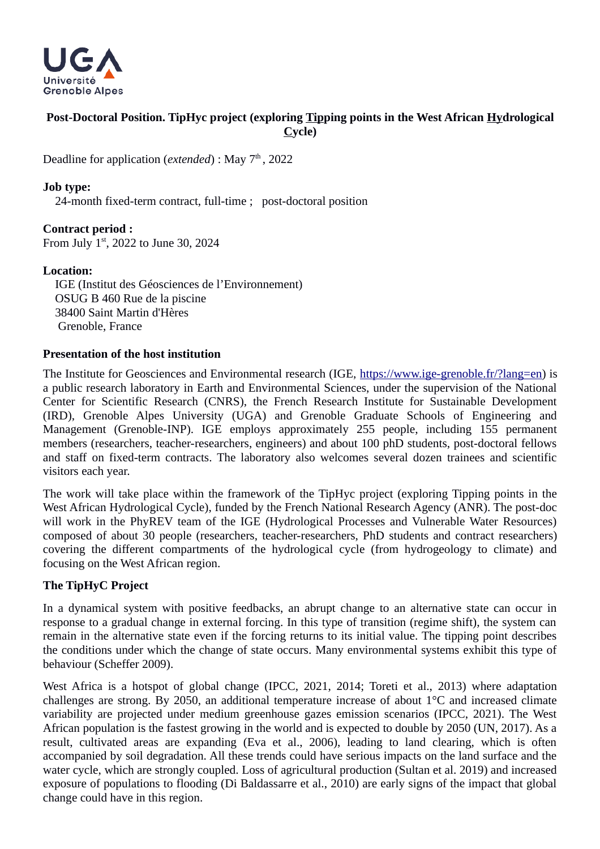

# **Post-Doctoral Position. TipHyc project (exploring Tipping points in the West African Hydrological Cycle)**

Deadline for application (*extended*) : May 7<sup>th</sup>, 2022

### **Job type:**

24-month fixed-term contract, full-time ; post-doctoral position

**Contract period :**  From July  $1<sup>st</sup>$ , 2022 to June 30, 2024

## **Location:**

 IGE (Institut des Géosciences de l'Environnement) OSUG B 460 Rue de la piscine 38400 Saint Martin d'Hères Grenoble, France

#### **Presentation of the host institution**

The Institute for Geosciences and Environmental research (IGE, [https://www.ige-grenoble.fr/?lang=en\)](https://www.ige-grenoble.fr/?lang=en) is a public research laboratory in Earth and Environmental Sciences, under the supervision of the National Center for Scientific Research (CNRS), the French Research Institute for Sustainable Development (IRD), Grenoble Alpes University (UGA) and Grenoble Graduate Schools of Engineering and Management (Grenoble-INP). IGE employs approximately 255 people, including 155 permanent members (researchers, teacher-researchers, engineers) and about 100 phD students, post-doctoral fellows and staff on fixed-term contracts. The laboratory also welcomes several dozen trainees and scientific visitors each year.

The work will take place within the framework of the TipHyc project (exploring Tipping points in the West African Hydrological Cycle), funded by the French National Research Agency (ANR). The post-doc will work in the PhyREV team of the IGE (Hydrological Processes and Vulnerable Water Resources) composed of about 30 people (researchers, teacher-researchers, PhD students and contract researchers) covering the different compartments of the hydrological cycle (from hydrogeology to climate) and focusing on the West African region.

# **The TipHyC Project**

In a dynamical system with positive feedbacks, an abrupt change to an alternative state can occur in response to a gradual change in external forcing. In this type of transition (regime shift), the system can remain in the alternative state even if the forcing returns to its initial value. The tipping point describes the conditions under which the change of state occurs. Many environmental systems exhibit this type of behaviour (Scheffer 2009).

West Africa is a hotspot of global change (IPCC, 2021, 2014; Toreti et al., 2013) where adaptation challenges are strong. By 2050, an additional temperature increase of about 1°C and increased climate variability are projected under medium greenhouse gazes emission scenarios (IPCC, 2021). The West African population is the fastest growing in the world and is expected to double by 2050 (UN, 2017). As a result, cultivated areas are expanding (Eva et al., 2006), leading to land clearing, which is often accompanied by soil degradation. All these trends could have serious impacts on the land surface and the water cycle, which are strongly coupled. Loss of agricultural production (Sultan et al. 2019) and increased exposure of populations to flooding (Di Baldassarre et al., 2010) are early signs of the impact that global change could have in this region.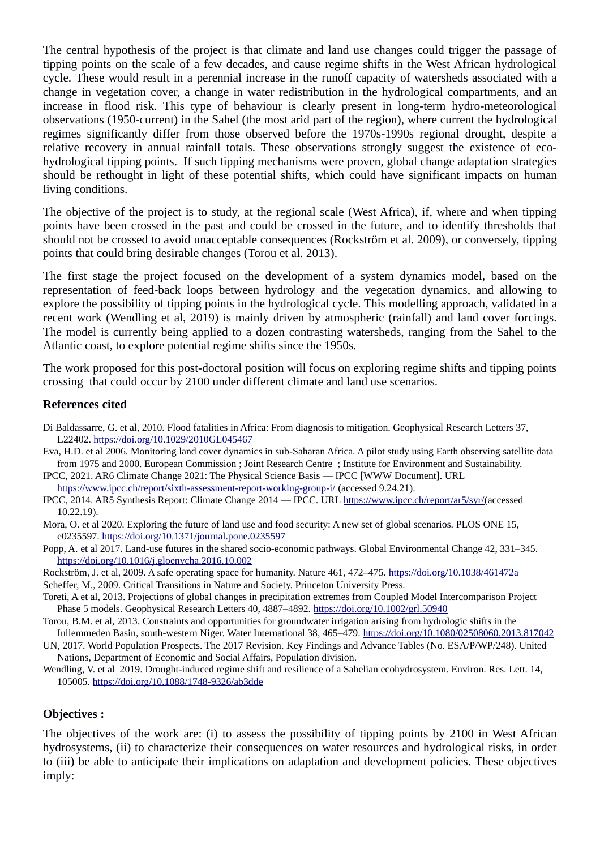The central hypothesis of the project is that climate and land use changes could trigger the passage of tipping points on the scale of a few decades, and cause regime shifts in the West African hydrological cycle. These would result in a perennial increase in the runoff capacity of watersheds associated with a change in vegetation cover, a change in water redistribution in the hydrological compartments, and an increase in flood risk. This type of behaviour is clearly present in long-term hydro-meteorological observations (1950-current) in the Sahel (the most arid part of the region), where current the hydrological regimes significantly differ from those observed before the 1970s-1990s regional drought, despite a relative recovery in annual rainfall totals. These observations strongly suggest the existence of ecohydrological tipping points. If such tipping mechanisms were proven, global change adaptation strategies should be rethought in light of these potential shifts, which could have significant impacts on human living conditions.

The objective of the project is to study, at the regional scale (West Africa), if, where and when tipping points have been crossed in the past and could be crossed in the future, and to identify thresholds that should not be crossed to avoid unacceptable consequences (Rockström et al. 2009), or conversely, tipping points that could bring desirable changes (Torou et al. 2013).

The first stage the project focused on the development of a system dynamics model, based on the representation of feed-back loops between hydrology and the vegetation dynamics, and allowing to explore the possibility of tipping points in the hydrological cycle. This modelling approach, validated in a recent work (Wendling et al, 2019) is mainly driven by atmospheric (rainfall) and land cover forcings. The model is currently being applied to a dozen contrasting watersheds, ranging from the Sahel to the Atlantic coast, to explore potential regime shifts since the 1950s.

The work proposed for this post-doctoral position will focus on exploring regime shifts and tipping points crossing that could occur by 2100 under different climate and land use scenarios.

#### **References cited**

- Di Baldassarre, G. et al, 2010. Flood fatalities in Africa: From diagnosis to mitigation. Geophysical Research Letters 37, L22402.<https://doi.org/10.1029/2010GL045467>
- Eva, H.D. et al 2006. Monitoring land cover dynamics in sub-Saharan Africa. A pilot study using Earth observing satellite data from 1975 and 2000. European Commission ; Joint Research Centre ; Institute for Environment and Sustainability.
- IPCC, 2021. AR6 Climate Change 2021: The Physical Science Basis IPCC [WWW Document]. URL <https://www.ipcc.ch/report/sixth-assessment-report-working-group-i/>(accessed 9.24.21).
- IPCC, 2014. AR5 Synthesis Report: Climate Change 2014 IPCC. URL [https://www.ipcc.ch/report/ar5/syr/\(](https://www.ipcc.ch/report/ar5/syr/)accessed 10.22.19).
- Mora, O. et al 2020. Exploring the future of land use and food security: A new set of global scenarios. PLOS ONE 15, e0235597.<https://doi.org/10.1371/journal.pone.0235597>
- Popp, A. et al 2017. Land-use futures in the shared socio-economic pathways. Global Environmental Change 42, 331–345. <https://doi.org/10.1016/j.gloenvcha.2016.10.002>
- Rockström, J. et al, 2009. A safe operating space for humanity. Nature 461, 472–475.<https://doi.org/10.1038/461472a>

Scheffer, M., 2009. Critical Transitions in Nature and Society. Princeton University Press.

- Toreti, A et al, 2013. Projections of global changes in precipitation extremes from Coupled Model Intercomparison Project Phase 5 models. Geophysical Research Letters 40, 4887–4892.<https://doi.org/10.1002/grl.50940>
- Torou, B.M. et al, 2013. Constraints and opportunities for groundwater irrigation arising from hydrologic shifts in the Iullemmeden Basin, south-western Niger. Water International 38, 465–479.<https://doi.org/10.1080/02508060.2013.817042>
- UN, 2017. World Population Prospects. The 2017 Revision. Key Findings and Advance Tables (No. ESA/P/WP/248). United Nations, Department of Economic and Social Affairs, Population division.
- Wendling, V. et al 2019. Drought-induced regime shift and resilience of a Sahelian ecohydrosystem. Environ. Res. Lett. 14, 105005.<https://doi.org/10.1088/1748-9326/ab3dde>

## **Objectives :**

The objectives of the work are: (i) to assess the possibility of tipping points by 2100 in West African hydrosystems, (ii) to characterize their consequences on water resources and hydrological risks, in order to (iii) be able to anticipate their implications on adaptation and development policies. These objectives imply: